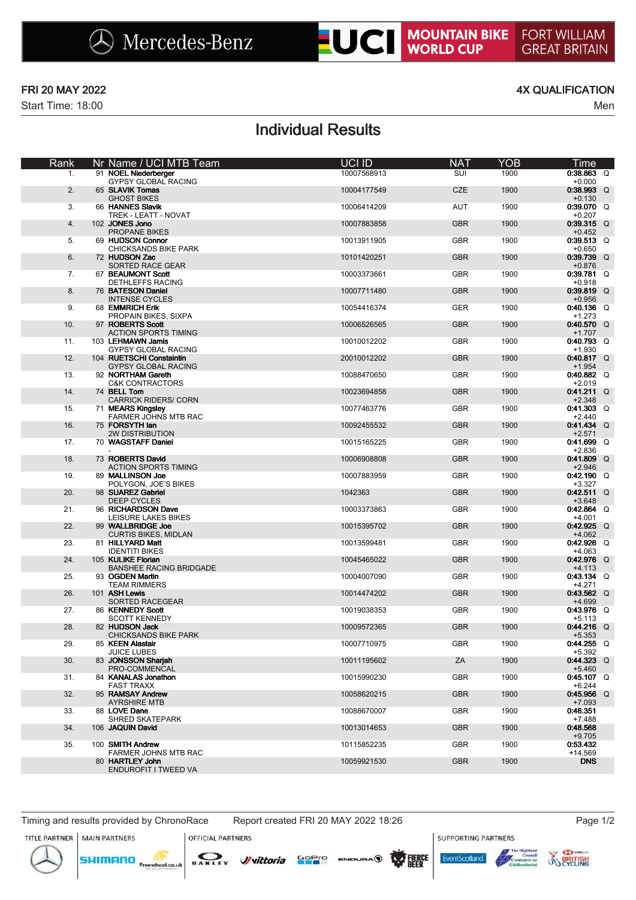Start Time: 18:00 Men

### FRI 20 MAY 2022 4X QUALIFICATION

# Individual Results

| Rank | Nr Name / UCI MTB Team                                 | UCI ID      | <b>NAT</b> | YOB  | Time                     |
|------|--------------------------------------------------------|-------------|------------|------|--------------------------|
| 1.   | 91 NOEL Niederberger<br><b>GYPSY GLOBAL RACING</b>     | 10007568913 | SUI        | 1900 | $0:38.863$ Q<br>$+0.000$ |
| 2.   | 65 SLAVIK Tomas<br><b>GHOST BIKES</b>                  | 10004177549 | <b>CZE</b> | 1900 | $0:38.993$ Q<br>$+0.130$ |
| 3.   | 66 HANNES Slavik<br>TREK - LEATT - NOVAT               | 10006414209 | AUT        | 1900 | $0:39.070$ Q<br>$+0.207$ |
| 4.   | 102 JONES Jono<br>PROPANE BIKES                        | 10007883858 | <b>GBR</b> | 1900 | $0:39.315$ Q<br>$+0.452$ |
| 5.   | 69 HUDSON Connor<br><b>CHICKSANDS BIKE PARK</b>        | 10013911905 | <b>GBR</b> | 1900 | $0:39.513$ Q<br>$+0.650$ |
| 6.   | 72 HUDSON Zac<br><b>SORTED RACE GEAR</b>               | 10101420251 | <b>GBR</b> | 1900 | $0:39.739$ Q<br>$+0.876$ |
| 7.   | 67 BEAUMONT Scott                                      | 10003373661 | <b>GBR</b> | 1900 | $0:39.781$ Q             |
| 8.   | DETHLEFFS RACING<br>76 BATESON Daniel                  | 10007711480 | <b>GBR</b> | 1900 | $+0.918$<br>$0:39.819$ Q |
| 9.   | <b>INTENSE CYCLES</b><br>68 EMMRICH Erik               | 10054416374 | <b>GER</b> | 1900 | $+0.956$<br>$0:40.136$ Q |
| 10.  | PROPAIN BIKES, SIXPA<br>97 ROBERTS Scott               | 10006526565 | <b>GBR</b> | 1900 | $+1.273$<br>$0:40.570$ Q |
| 11.  | <b>ACTION SPORTS TIMING</b><br>103 LEHMAWN Jamis       | 10010012202 | <b>GBR</b> | 1900 | $+1.707$<br>$0:40.793$ Q |
| 12.  | <b>GYPSY GLOBAL RACING</b><br>104 RUETSCHI Constaintin | 20010012202 | <b>GBR</b> | 1900 | $+1.930$<br>$0:40.817$ Q |
| 13.  | <b>GYPSY GLOBAL RACING</b><br>92 NORTHAM Gareth        | 10088470650 | <b>GBR</b> | 1900 | $+1.954$<br>$0:40.882$ Q |
| 14.  | <b>C&amp;K CONTRACTORS</b><br>74 BELL Tom              | 10023694858 | <b>GBR</b> | 1900 | $+2.019$<br>$0:41.211$ Q |
| 15.  | <b>CARRICK RIDERS/ CORN</b><br>71 MEARS Kingsley       | 10077463776 | <b>GBR</b> | 1900 | $+2.348$<br>$0:41.303$ Q |
|      | FARMER JOHNS MTB RAC                                   |             |            |      | $+2.440$                 |
| 16.  | 75 FORSYTH lan<br><b>2W DISTRIBUTION</b>               | 10092455532 | <b>GBR</b> | 1900 | $0:41.434$ Q<br>$+2.571$ |
| 17.  | 70 WAGSTAFF Daniel                                     | 10015165225 | <b>GBR</b> | 1900 | $0.41.699$ Q<br>$+2.836$ |
| 18.  | 73 ROBERTS David<br><b>ACTION SPORTS TIMING</b>        | 10006908808 | <b>GBR</b> | 1900 | $0:41.809$ Q<br>$+2.946$ |
| 19.  | 89 MALLINSON Joe<br>POLYGON, JOE'S BIKES               | 10007883959 | <b>GBR</b> | 1900 | $0:42.190$ Q<br>$+3.327$ |
| 20.  | 98 SUAREZ Gabriel<br><b>DEEP CYCLES</b>                | 1042363     | <b>GBR</b> | 1900 | $0:42.511$ Q<br>$+3.648$ |
| 21.  | 96 RICHARDSON Dave<br>LEISURE LAKES BIKES              | 10003373863 | <b>GBR</b> | 1900 | $0:42.864$ Q<br>$+4.001$ |
| 22.  | 99 WALLBRIDGE Joe<br><b>CURTIS BIKES, MIDLAN</b>       | 10015395702 | <b>GBR</b> | 1900 | $0:42.925$ Q<br>$+4.062$ |
| 23.  | 81 HILLYARD Matt                                       | 10013599481 | <b>GBR</b> | 1900 | $0.42.926$ Q             |
| 24.  | <b>IDENTITI BIKES</b><br>105 KULIKE Florian            | 10045465022 | <b>GBR</b> | 1900 | $+4.063$<br>$0:42.976$ Q |
| 25.  | <b>BANSHEE RACING BRIDGADE</b><br>93 OGDEN Martin      | 10004007090 | <b>GBR</b> | 1900 | $+4.113$<br>$0:43.134$ Q |
| 26.  | <b>TEAM RIMMERS</b><br>101 ASH Lewis                   | 10014474202 | <b>GBR</b> | 1900 | $+4.271$<br>$0:43.562$ Q |
| 27.  | SORTED RACEGEAR<br>86 KENNEDY Scott                    | 10019038353 | GBR        | 1900 | $+4.699$<br>$0:43.976$ Q |
| 28.  | <b>SCOTT KENNEDY</b><br>82 HUDSON Jack                 | 10009572365 | <b>GBR</b> | 1900 | $+5.113$<br>$0:44.216$ Q |
| 29.  | <b>CHICKSANDS BIKE PARK</b><br>85 KEEN Alastair        | 10007710975 | <b>GBR</b> | 1900 | $+5.353$<br>$0:44.255$ Q |
| 30.  | <b>JUICE LUBES</b><br>83 JONSSON Sharjah               | 10011195602 | ZA         | 1900 | $+5.392$<br>$0:44.323$ Q |
|      | PRO-COMMENCAL<br>84 KANALAS Jonathon                   |             |            |      | $+5.460$                 |
| 31.  | <b>FAST TRAXX</b>                                      | 10015990230 | <b>GBR</b> | 1900 | $0:45.107$ Q<br>$+6.244$ |
| 32.  | 95 RAMSAY Andrew<br><b>AYRSHIRE MTB</b>                | 10058620215 | <b>GBR</b> | 1900 | $0:45.956$ Q<br>$+7.093$ |
| 33.  | 88 LOVE Dane<br>SHRED SKATEPARK                        | 10088670007 | <b>GBR</b> | 1900 | 0:46.351<br>$+7.488$     |
| 34.  | 106 JAQUIN David                                       | 10013014653 | <b>GBR</b> | 1900 | 0:48.568<br>$+9.705$     |
| 35.  | 100 SMITH Andrew<br>FARMER JOHNS MTB RAC               | 10115852235 | <b>GBR</b> | 1900 | 0:53.432<br>$+14.569$    |
|      | 80 HARTLEY John<br>ENDUROFIT I TWEED VA                | 10059921530 | <b>GBR</b> | 1900 | <b>DNS</b>               |
|      |                                                        |             |            |      |                          |

Timing and results provided by ChronoRace Report created FRI 20 MAY 2022 18:26 Page 1/2 **MAIN PARTNERS** 

**SUPPORTING PARTNERS** 



**SHIMANO** 



**OFFICIAL PARTNERS** 



**FventScotland**